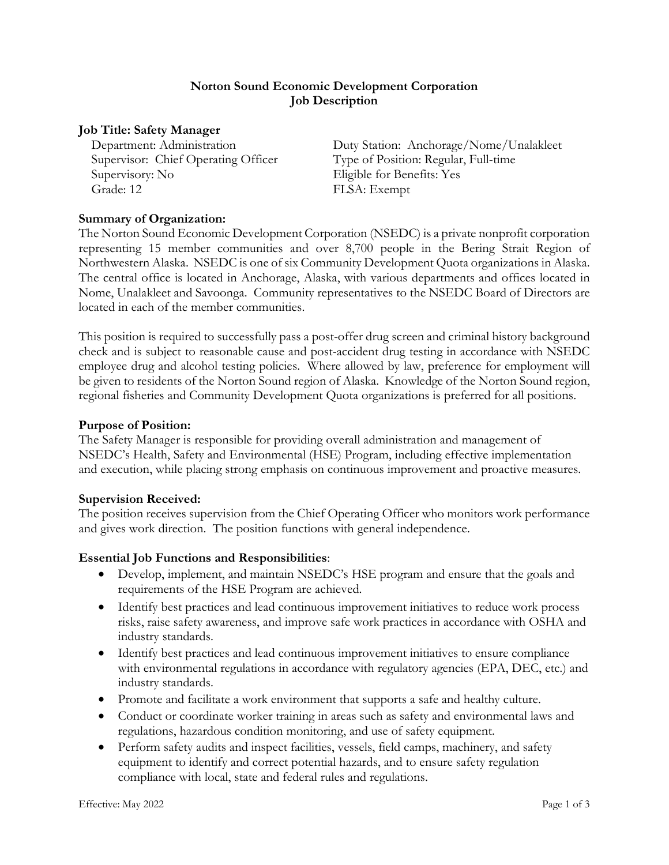# **Norton Sound Economic Development Corporation Job Description**

#### **Job Title: Safety Manager**

Supervisor: Chief Operating Officer Type of Position: Regular, Full-time Supervisory: No Eligible for Benefits: Yes Grade: 12 FLSA: Exempt

Department: Administration Duty Station: Anchorage/Nome/Unalakleet

# **Summary of Organization:**

The Norton Sound Economic Development Corporation (NSEDC) is a private nonprofit corporation representing 15 member communities and over 8,700 people in the Bering Strait Region of Northwestern Alaska. NSEDC is one of six Community Development Quota organizations in Alaska. The central office is located in Anchorage, Alaska, with various departments and offices located in Nome, Unalakleet and Savoonga. Community representatives to the NSEDC Board of Directors are located in each of the member communities.

This position is required to successfully pass a post-offer drug screen and criminal history background check and is subject to reasonable cause and post-accident drug testing in accordance with NSEDC employee drug and alcohol testing policies. Where allowed by law, preference for employment will be given to residents of the Norton Sound region of Alaska. Knowledge of the Norton Sound region, regional fisheries and Community Development Quota organizations is preferred for all positions.

#### **Purpose of Position:**

The Safety Manager is responsible for providing overall administration and management of NSEDC's Health, Safety and Environmental (HSE) Program, including effective implementation and execution, while placing strong emphasis on continuous improvement and proactive measures.

#### **Supervision Received:**

The position receives supervision from the Chief Operating Officer who monitors work performance and gives work direction. The position functions with general independence.

#### **Essential Job Functions and Responsibilities**:

- Develop, implement, and maintain NSEDC's HSE program and ensure that the goals and requirements of the HSE Program are achieved.
- Identify best practices and lead continuous improvement initiatives to reduce work process risks, raise safety awareness, and improve safe work practices in accordance with OSHA and industry standards.
- Identify best practices and lead continuous improvement initiatives to ensure compliance with environmental regulations in accordance with regulatory agencies (EPA, DEC, etc.) and industry standards.
- Promote and facilitate a work environment that supports a safe and healthy culture.
- Conduct or coordinate worker training in areas such as safety and environmental laws and regulations, hazardous condition monitoring, and use of safety equipment.
- Perform safety audits and inspect facilities, vessels, field camps, machinery, and safety equipment to identify and correct potential hazards, and to ensure safety regulation compliance with local, state and federal rules and regulations.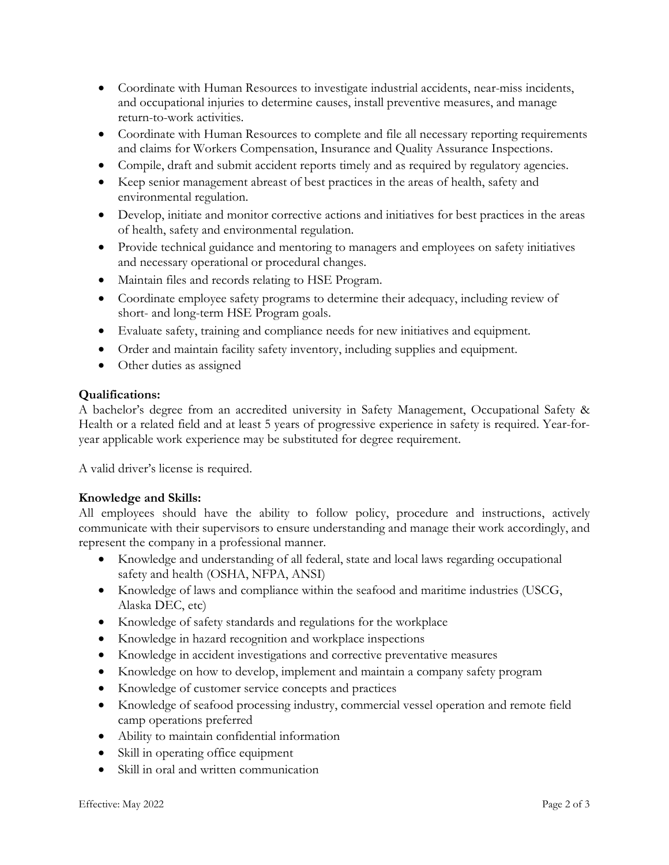- Coordinate with Human Resources to investigate industrial accidents, near-miss incidents, and occupational injuries to determine causes, install preventive measures, and manage return-to-work activities.
- Coordinate with Human Resources to complete and file all necessary reporting requirements and claims for Workers Compensation, Insurance and Quality Assurance Inspections.
- Compile, draft and submit accident reports timely and as required by regulatory agencies.
- Keep senior management abreast of best practices in the areas of health, safety and environmental regulation.
- Develop, initiate and monitor corrective actions and initiatives for best practices in the areas of health, safety and environmental regulation.
- Provide technical guidance and mentoring to managers and employees on safety initiatives and necessary operational or procedural changes.
- Maintain files and records relating to HSE Program.
- Coordinate employee safety programs to determine their adequacy, including review of short- and long-term HSE Program goals.
- Evaluate safety, training and compliance needs for new initiatives and equipment.
- Order and maintain facility safety inventory, including supplies and equipment.
- Other duties as assigned

# **Qualifications:**

A bachelor's degree from an accredited university in Safety Management, Occupational Safety & Health or a related field and at least 5 years of progressive experience in safety is required. Year-foryear applicable work experience may be substituted for degree requirement.

A valid driver's license is required.

# **Knowledge and Skills:**

All employees should have the ability to follow policy, procedure and instructions, actively communicate with their supervisors to ensure understanding and manage their work accordingly, and represent the company in a professional manner.

- Knowledge and understanding of all federal, state and local laws regarding occupational safety and health (OSHA, NFPA, ANSI)
- Knowledge of laws and compliance within the seafood and maritime industries (USCG, Alaska DEC, etc)
- Knowledge of safety standards and regulations for the workplace
- Knowledge in hazard recognition and workplace inspections
- Knowledge in accident investigations and corrective preventative measures
- Knowledge on how to develop, implement and maintain a company safety program
- Knowledge of customer service concepts and practices
- Knowledge of seafood processing industry, commercial vessel operation and remote field camp operations preferred
- Ability to maintain confidential information
- Skill in operating office equipment
- Skill in oral and written communication